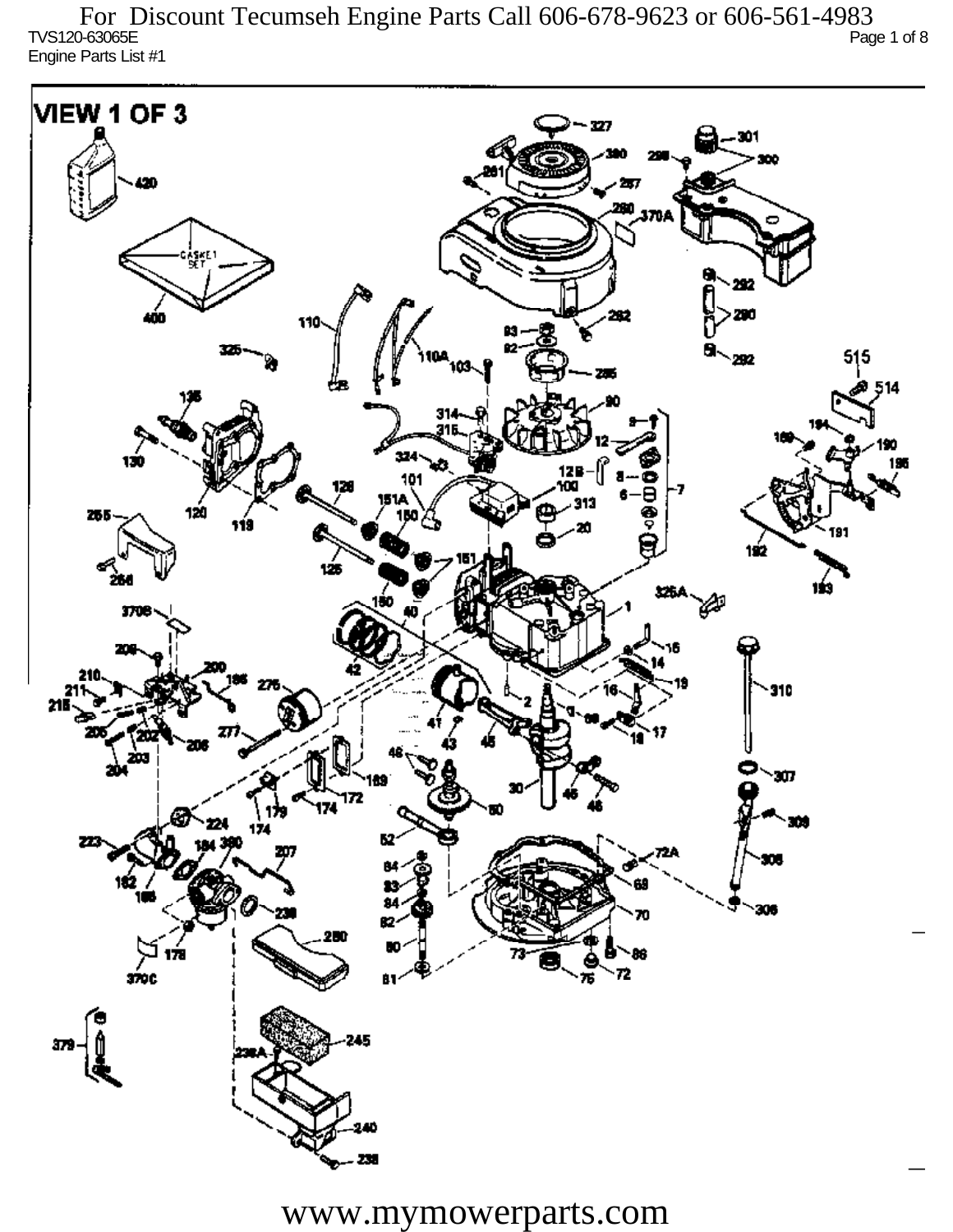TVS120-63065E Page 1 of 8 Engine Parts List #1 For Discount Tecumseh Engine Parts Call 606-678-9623 or 606-561-4983

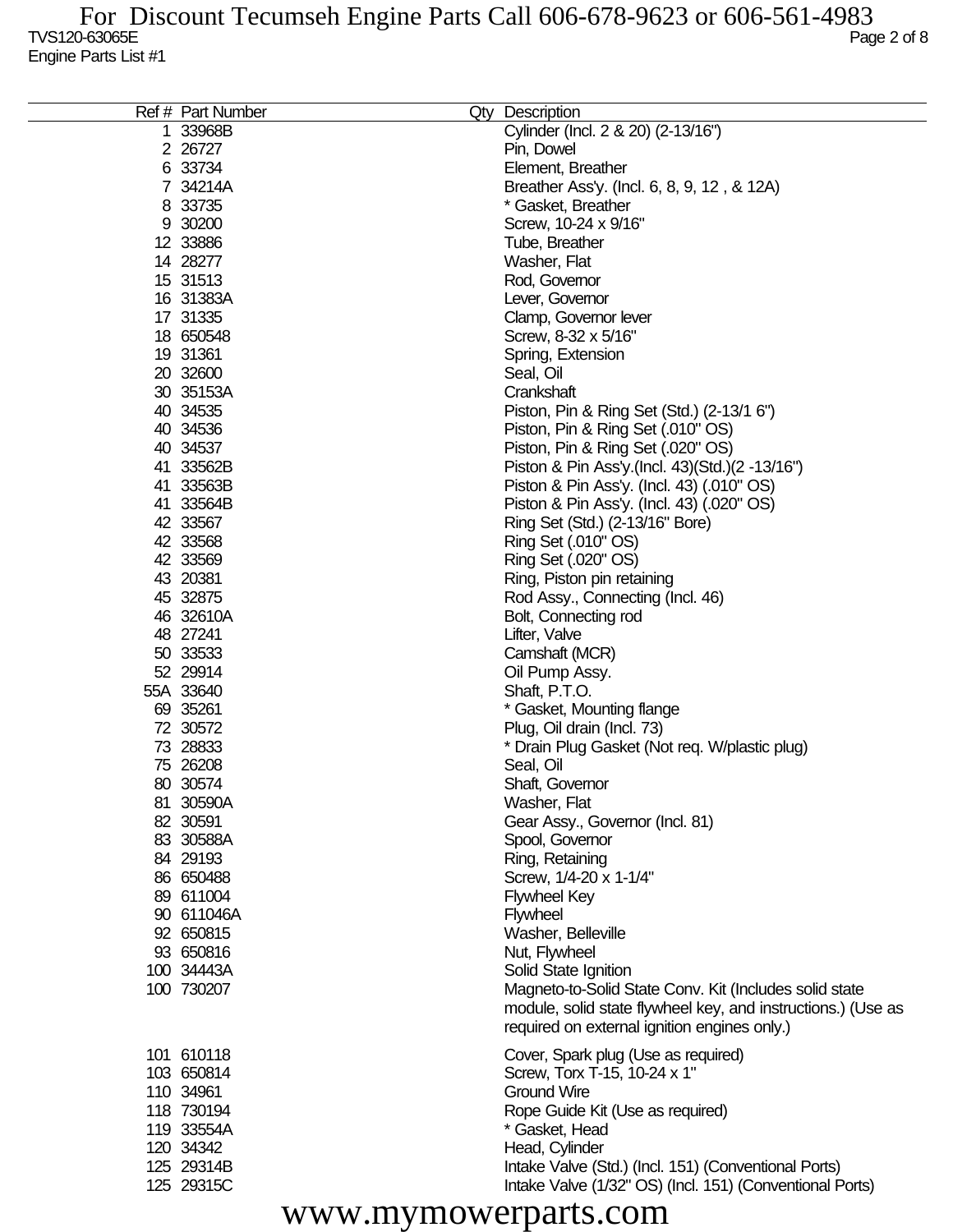| Ref # Part Number | Qty | Description                                                  |
|-------------------|-----|--------------------------------------------------------------|
| 1 33968B          |     | Cylinder (Incl. 2 & 20) (2-13/16")                           |
| 2 26727           |     | Pin, Dowel                                                   |
| 6 33734           |     | Element, Breather                                            |
| 7 34214A          |     | Breather Ass'y. (Incl. 6, 8, 9, 12, & 12A)                   |
| 8 33735           |     | * Gasket, Breather                                           |
| 9 30200           |     | Screw, 10-24 x 9/16"                                         |
| 12 33886          |     | Tube, Breather                                               |
| 14 28277          |     | Washer, Flat                                                 |
| 15 31513          |     | Rod, Governor                                                |
| 16 31383A         |     | Lever, Governor                                              |
| 17 31335          |     | Clamp, Governor lever                                        |
| 18 650548         |     | Screw, 8-32 x 5/16"                                          |
| 19 31361          |     | Spring, Extension                                            |
| 20 32600          |     | Seal, Oil                                                    |
| 30 35153A         |     | Crankshaft                                                   |
| 40 34535          |     | Piston, Pin & Ring Set (Std.) (2-13/1 6")                    |
| 40 34536          |     | Piston, Pin & Ring Set (.010" OS)                            |
| 40 34537          |     | Piston, Pin & Ring Set (.020" OS)                            |
| 41 33562B         |     | Piston & Pin Ass'y (Incl. 43) (Std.) (2 -13/16")             |
| 41 33563B         |     | Piston & Pin Ass'y. (Incl. 43) (.010" OS)                    |
| 41 33564B         |     | Piston & Pin Ass'y. (Incl. 43) (.020" OS)                    |
| 42 33567          |     | Ring Set (Std.) (2-13/16" Bore)                              |
| 42 33568          |     | Ring Set (.010" OS)                                          |
| 42 33569          |     | Ring Set (.020" OS)                                          |
| 43 20381          |     | Ring, Piston pin retaining                                   |
| 45 32875          |     | Rod Assy., Connecting (Incl. 46)                             |
| 46 32610A         |     | Bolt, Connecting rod                                         |
| 48 27241          |     | Lifter, Valve                                                |
| 50 33533          |     | Camshaft (MCR)                                               |
| 52 29914          |     | Oil Pump Assy.                                               |
| 55A 33640         |     | Shaft, P.T.O.                                                |
| 69 35261          |     | * Gasket, Mounting flange                                    |
| 72 30572          |     | Plug, Oil drain (Incl. 73)                                   |
| 73 28833          |     | * Drain Plug Gasket (Not req. W/plastic plug)                |
| 75 26208          |     | Seal, Oil                                                    |
| 80 30574          |     | Shaft, Governor                                              |
| 81 30590A         |     | Washer, Flat                                                 |
| 82 30591          |     | Gear Assy., Governor (Incl. 81)                              |
| 83 30588A         |     | Spool, Governor                                              |
| 84 29193          |     | Ring, Retaining                                              |
| 86 650488         |     | Screw, 1/4-20 x 1-1/4"                                       |
| 89 611004         |     | <b>Flywheel Key</b>                                          |
| 90 611046A        |     | <b>Flywheel</b>                                              |
| 92 650815         |     | Washer, Belleville                                           |
| 93 650816         |     | Nut, Flywheel                                                |
| 100 34443A        |     | Solid State Ignition                                         |
| 100 730207        |     | Magneto-to-Solid State Conv. Kit (Includes solid state       |
|                   |     | module, solid state flywheel key, and instructions.) (Use as |
|                   |     | required on external ignition engines only.)                 |
| 101 610118        |     | Cover, Spark plug (Use as required)                          |
| 103 650814        |     | Screw, Torx T-15, 10-24 x 1"                                 |
| 110 34961         |     | <b>Ground Wire</b>                                           |
| 118 730194        |     | Rope Guide Kit (Use as required)                             |
| 119 33554A        |     | * Gasket, Head                                               |
| 120 34342         |     | Head, Cylinder                                               |
| 125 29314B        |     | Intake Valve (Std.) (Incl. 151) (Conventional Ports)         |
| 125 29315C        |     | Intake Valve (1/32" OS) (Incl. 151) (Conventional Ports)     |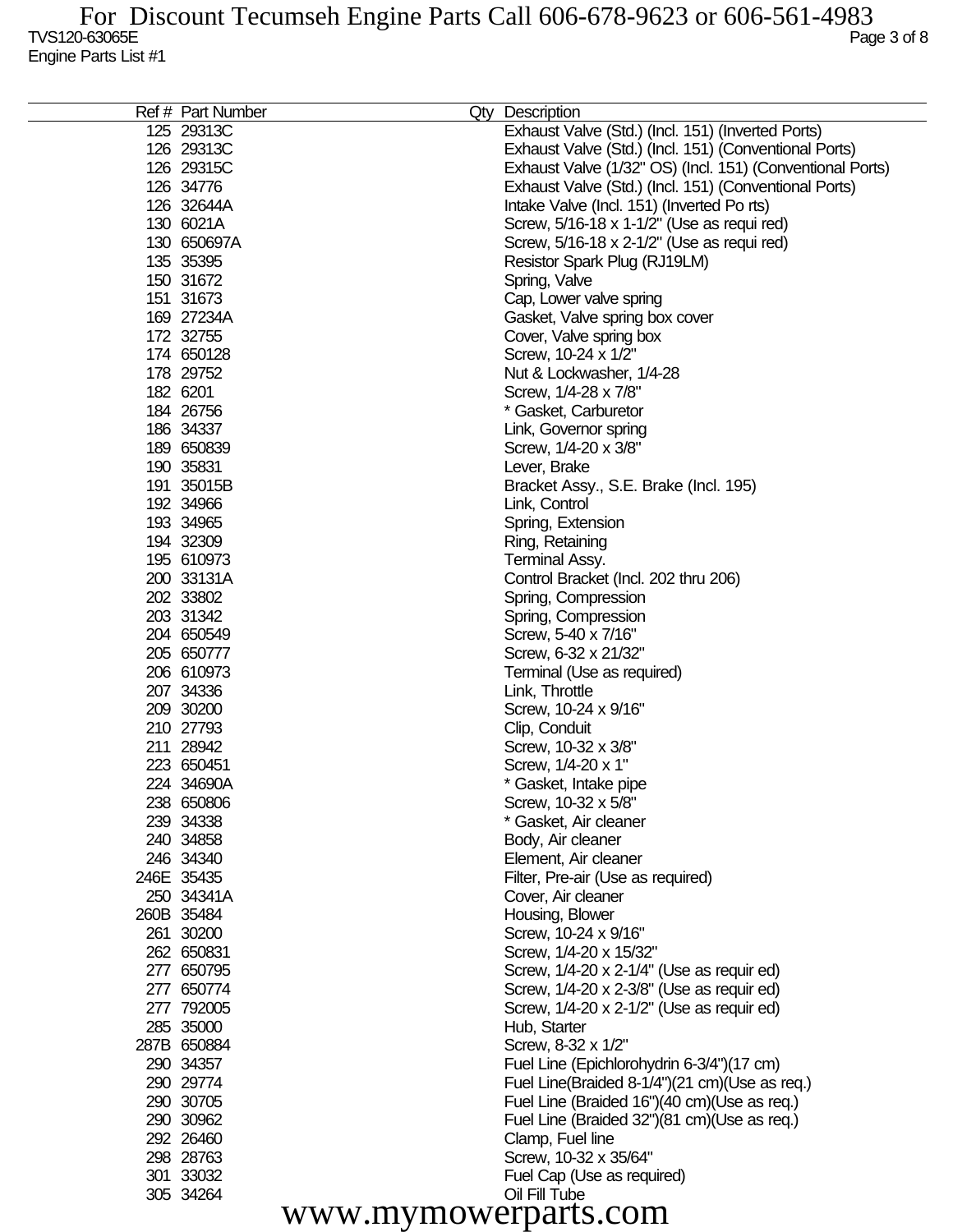| Ref # Part Number    | Qty Description                                           |
|----------------------|-----------------------------------------------------------|
| 125 29313C           | Exhaust Valve (Std.) (Incl. 151) (Inverted Ports)         |
| 126 29313C           | Exhaust Valve (Std.) (Incl. 151) (Conventional Ports)     |
| 126 29315C           | Exhaust Valve (1/32" OS) (Incl. 151) (Conventional Ports) |
| 126 34776            | Exhaust Valve (Std.) (Incl. 151) (Conventional Ports)     |
| 126 32644A           | Intake Valve (Incl. 151) (Inverted Ports)                 |
| 130 6021A            | Screw, 5/16-18 x 1-1/2" (Use as requi red)                |
| 130 650697A          | Screw, 5/16-18 x 2-1/2" (Use as requi red)                |
| 135 35395            | Resistor Spark Plug (RJ19LM)                              |
| 150 31672            | Spring, Valve                                             |
| 151 31673            | Cap, Lower valve spring                                   |
| 169 27234A           |                                                           |
| 172 32755            | Gasket, Valve spring box cover                            |
| 174 650128           | Cover, Valve spring box<br>Screw, 10-24 x 1/2"            |
| 178 29752            | Nut & Lockwasher, 1/4-28                                  |
| 182 6201             |                                                           |
|                      | Screw, 1/4-28 x 7/8"                                      |
| 184 26756            | * Gasket, Carburetor                                      |
| 186 34337            | Link, Governor spring                                     |
| 189 650839           | Screw, 1/4-20 x 3/8"                                      |
| 190 35831            | Lever, Brake                                              |
| 191 35015B           | Bracket Assy., S.E. Brake (Incl. 195)                     |
| 192 34966            | Link, Control                                             |
| 193 34965            | Spring, Extension                                         |
| 194 32309            | Ring, Retaining                                           |
| 195 610973           | Terminal Assy.                                            |
| 200 33131A           | Control Bracket (Incl. 202 thru 206)                      |
| 202 33802            | Spring, Compression                                       |
| 203 31342            | Spring, Compression                                       |
| 204 650549           | Screw, 5-40 x 7/16"                                       |
| 205 650777           | Screw, 6-32 x 21/32"                                      |
| 206 610973           | Terminal (Use as required)                                |
| 207 34336            | Link, Throttle                                            |
| 209 30200            | Screw, 10-24 x 9/16"                                      |
| 210 27793            | Clip, Conduit                                             |
| 211 28942            | Screw, 10-32 x 3/8"                                       |
| 223 650451           | Screw, 1/4-20 x 1"                                        |
| 224 34690A           | * Gasket, Intake pipe                                     |
| 238 650806           | Screw, 10-32 x 5/8"                                       |
| 239 34338            | * Gasket, Air cleaner                                     |
| 240 34858            | Body, Air cleaner                                         |
| 246 34340            | Element, Air cleaner                                      |
| 246E 35435           | Filter, Pre-air (Use as required)                         |
| 250 34341A           | Cover, Air cleaner                                        |
| 260B 35484           | Housing, Blower                                           |
| 261 30200            | Screw, 10-24 x 9/16"                                      |
| 262 650831           | Screw, 1/4-20 x 15/32"                                    |
| 277 650795           | Screw, 1/4-20 x 2-1/4" (Use as requir ed)                 |
| 277 650774           | Screw, 1/4-20 x 2-3/8" (Use as requir ed)                 |
| 277 792005           | Screw, 1/4-20 x 2-1/2" (Use as requir ed)                 |
| 285 35000            | Hub, Starter                                              |
| 287B 650884          | Screw, 8-32 x 1/2"                                        |
| 290 34357            | Fuel Line (Epichlorohydrin 6-3/4")(17 cm)                 |
| 290 29774            | Fuel Line(Braided 8-1/4")(21 cm)(Use as req.)             |
| 290 30705            | Fuel Line (Braided 16")(40 cm)(Use as req.)               |
| 290 30962            | Fuel Line (Braided 32")(81 cm)(Use as req.)               |
| 292 26460            | Clamp, Fuel line                                          |
| 298 28763            | Screw, 10-32 x 35/64"                                     |
| 301 33032            | Fuel Cap (Use as required)                                |
| 305 34264            | Oil Fill Tube                                             |
| www.mymowerparts.com |                                                           |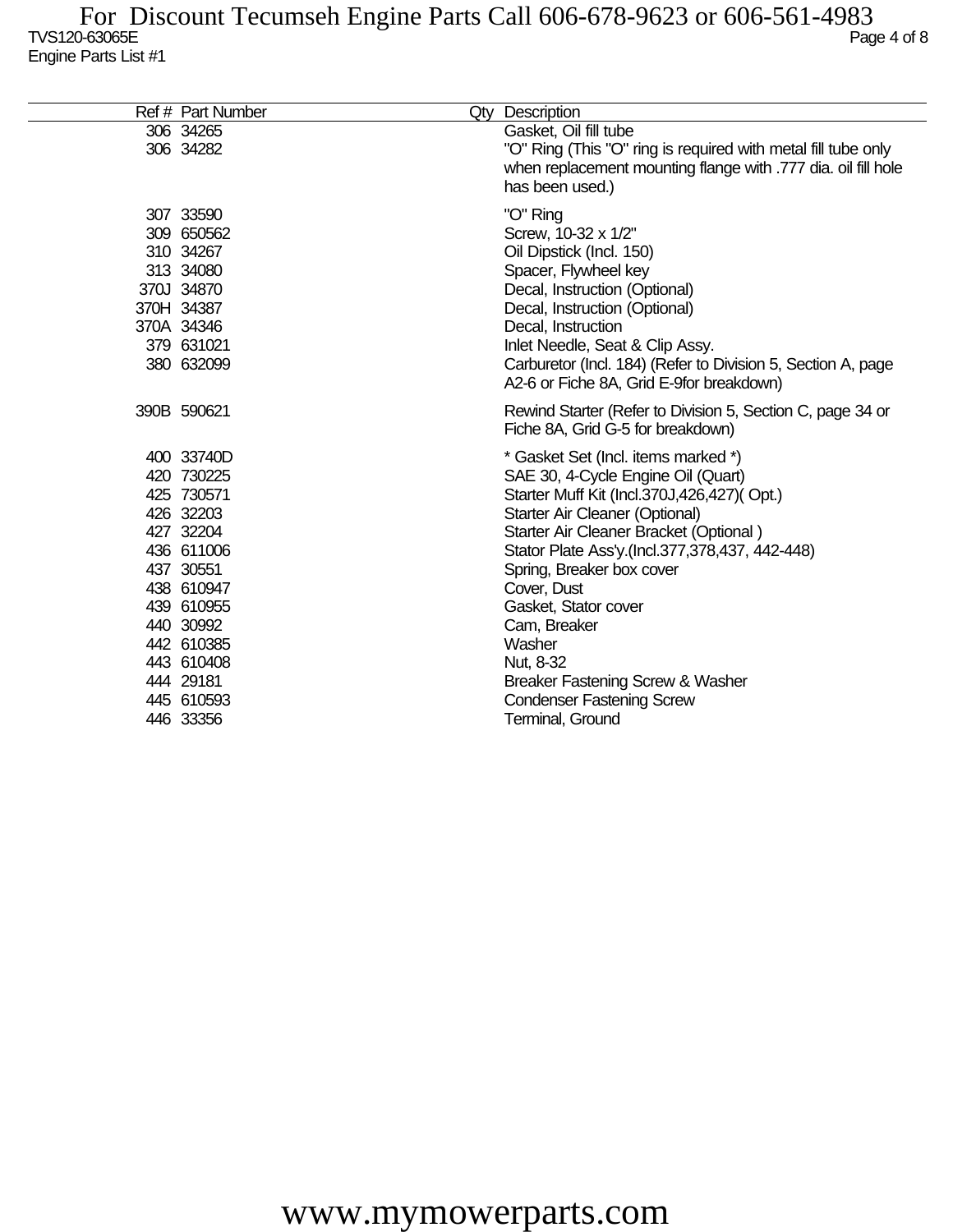## $T$ VS120-63065E  $P$ age 4 of 8 Engine Parts List #1 For Discount Tecumseh Engine Parts Call 606-678-9623 or 606-561-4983

| Ref # Part Number                                                                                                                                                                                        | Qty Description                                                                                                                                                                                                                                                                                                                                                                                                                                              |
|----------------------------------------------------------------------------------------------------------------------------------------------------------------------------------------------------------|--------------------------------------------------------------------------------------------------------------------------------------------------------------------------------------------------------------------------------------------------------------------------------------------------------------------------------------------------------------------------------------------------------------------------------------------------------------|
| 306 34265<br>306 34282                                                                                                                                                                                   | Gasket, Oil fill tube<br>"O" Ring (This "O" ring is required with metal fill tube only<br>when replacement mounting flange with .777 dia. oil fill hole<br>has been used.)                                                                                                                                                                                                                                                                                   |
| 307 33590<br>309 650562<br>310 34267<br>313 34080<br>370J 34870<br>370H 34387<br>370A 34346<br>379 631021<br>380 632099                                                                                  | "O" Ring<br>Screw, 10-32 x 1/2"<br>Oil Dipstick (Incl. 150)<br>Spacer, Flywheel key<br>Decal, Instruction (Optional)<br>Decal, Instruction (Optional)<br>Decal, Instruction<br>Inlet Needle, Seat & Clip Assy.<br>Carburetor (Incl. 184) (Refer to Division 5, Section A, page<br>A2-6 or Fiche 8A, Grid E-9for breakdown)                                                                                                                                   |
| 390B 590621                                                                                                                                                                                              | Rewind Starter (Refer to Division 5, Section C, page 34 or<br>Fiche 8A, Grid G-5 for breakdown)                                                                                                                                                                                                                                                                                                                                                              |
| 400 33740D<br>420 730225<br>425 730571<br>426 32203<br>427 32204<br>436 611006<br>437 30551<br>438 610947<br>439 610955<br>440 30992<br>442 610385<br>443 610408<br>444 29181<br>445 610593<br>446 33356 | * Gasket Set (Incl. items marked *)<br>SAE 30, 4-Cycle Engine Oil (Quart)<br>Starter Muff Kit (Incl.370J,426,427)(Opt.)<br>Starter Air Cleaner (Optional)<br>Starter Air Cleaner Bracket (Optional)<br>Stator Plate Ass'y (Incl.377,378,437, 442-448)<br>Spring, Breaker box cover<br>Cover, Dust<br>Gasket, Stator cover<br>Cam, Breaker<br>Washer<br>Nut, 8-32<br>Breaker Fastening Screw & Washer<br><b>Condenser Fastening Screw</b><br>Terminal, Ground |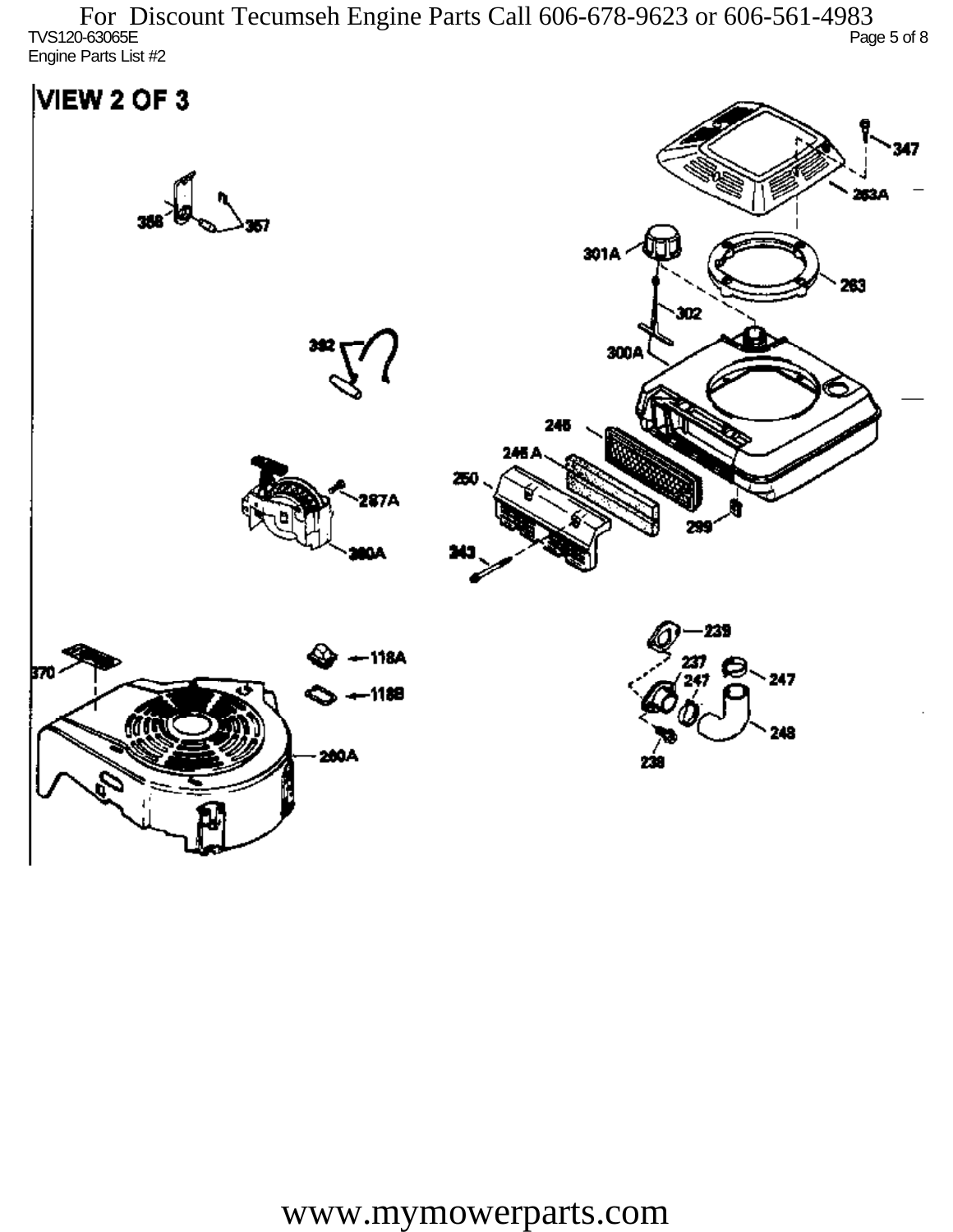$T$ VS120-63065E  $P$ age 5 of 8 Engine Parts List #2 For Discount Tecumseh Engine Parts Call 606-678-9623 or 606-561-4983

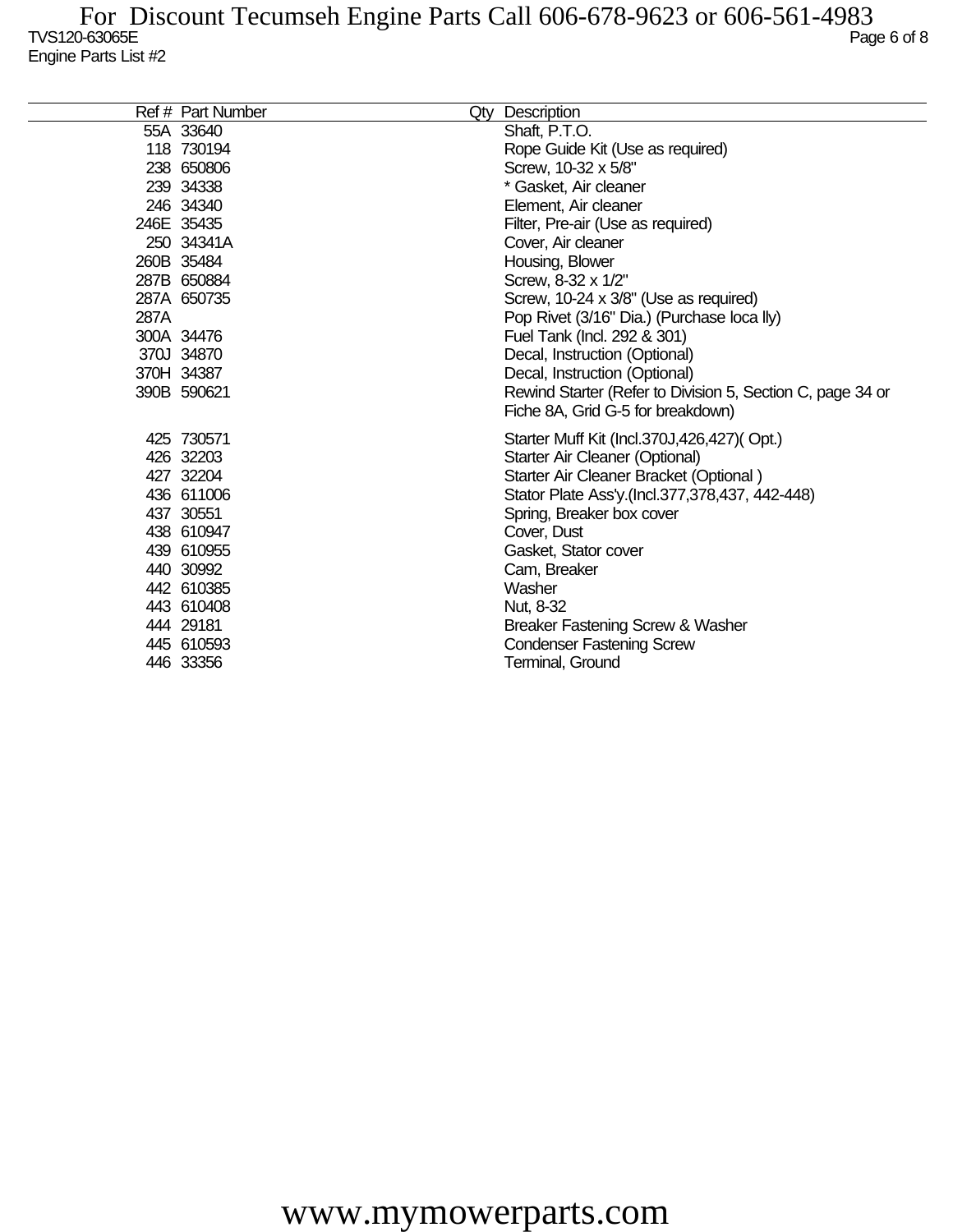|      | Ref # Part Number | Qty | Description                                                |
|------|-------------------|-----|------------------------------------------------------------|
|      | 55A 33640         |     | Shaft, P.T.O.                                              |
|      | 118 730194        |     | Rope Guide Kit (Use as required)                           |
|      | 238 650806        |     | Screw, 10-32 x 5/8"                                        |
|      | 239 34338         |     | * Gasket, Air cleaner                                      |
|      | 246 34340         |     | Element, Air cleaner                                       |
|      | 246E 35435        |     | Filter, Pre-air (Use as required)                          |
|      | 250 34341A        |     | Cover, Air cleaner                                         |
|      | 260B 35484        |     | Housing, Blower                                            |
|      | 287B 650884       |     | Screw, 8-32 x 1/2"                                         |
|      | 287A 650735       |     | Screw, 10-24 x 3/8" (Use as required)                      |
| 287A |                   |     | Pop Rivet (3/16" Dia.) (Purchase loca lly)                 |
|      | 300A 34476        |     | Fuel Tank (Incl. 292 & 301)                                |
|      | 370J 34870        |     | Decal, Instruction (Optional)                              |
|      | 370H 34387        |     | Decal, Instruction (Optional)                              |
|      | 390B 590621       |     | Rewind Starter (Refer to Division 5, Section C, page 34 or |
|      |                   |     | Fiche 8A, Grid G-5 for breakdown)                          |
|      | 425 730571        |     | Starter Muff Kit (Incl.370J,426,427)(Opt.)                 |
|      | 426 32203         |     | Starter Air Cleaner (Optional)                             |
|      | 427 32204         |     | Starter Air Cleaner Bracket (Optional)                     |
|      | 436 611006        |     | Stator Plate Ass'y.(Incl.377,378,437, 442-448)             |
|      | 437 30551         |     | Spring, Breaker box cover                                  |
|      | 438 610947        |     | Cover, Dust                                                |
|      | 439 610955        |     | Gasket, Stator cover                                       |
|      | 440 30992         |     | Cam, Breaker                                               |
|      | 442 610385        |     | Washer                                                     |
|      | 443 610408        |     | Nut, 8-32                                                  |
|      | 444 29181         |     | Breaker Fastening Screw & Washer                           |
|      | 445 610593        |     | <b>Condenser Fastening Screw</b>                           |
|      | 446 33356         |     | Terminal, Ground                                           |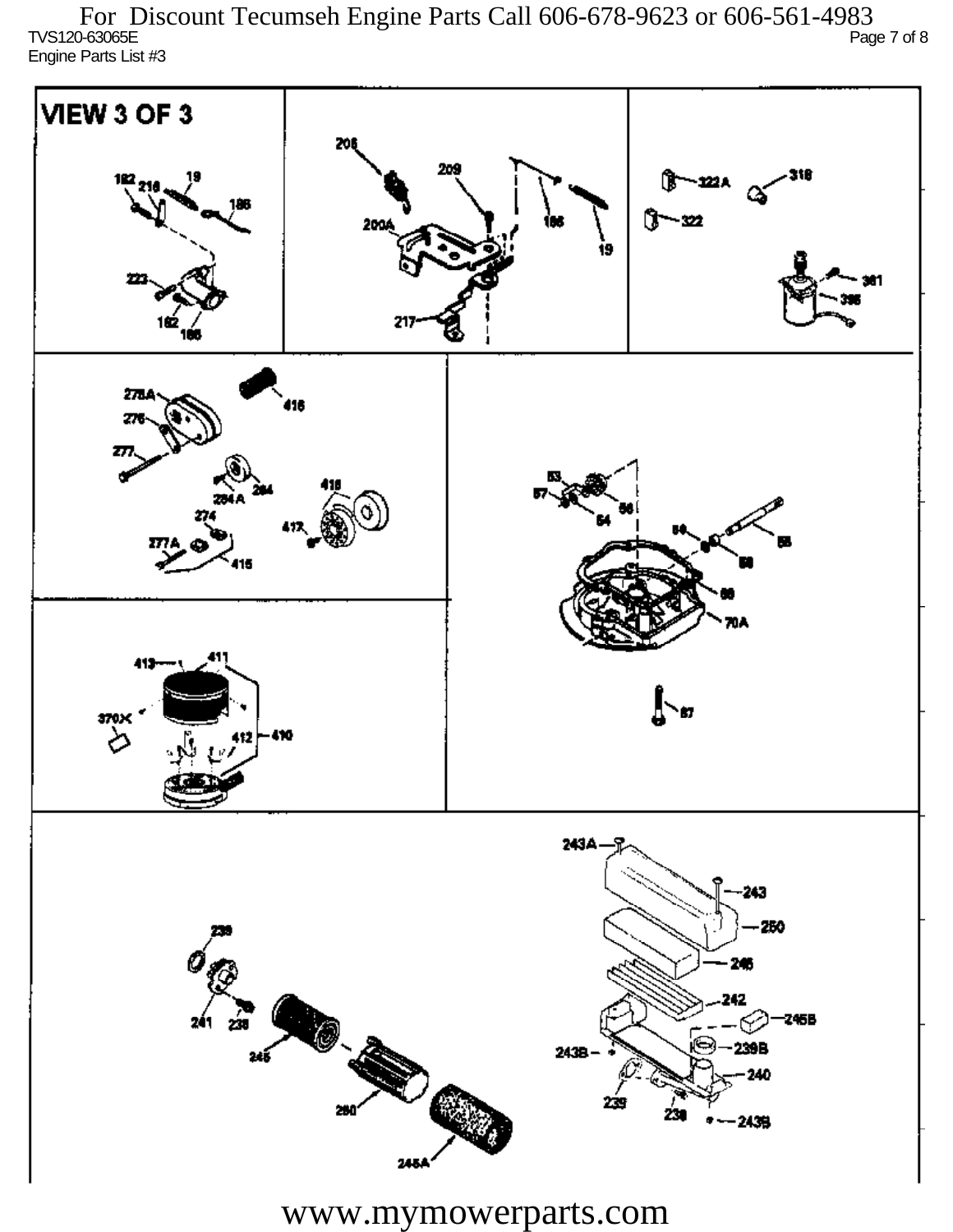TVS120-63065E Page 7 of 8 Engine Parts List #3 For Discount Tecumseh Engine Parts Call 606-678-9623 or 606-561-4983